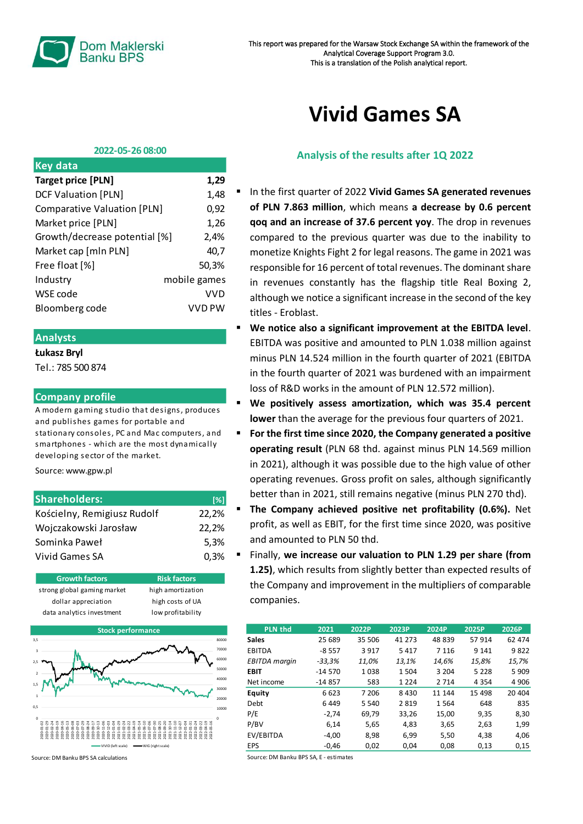

# **Vivid Games SA**

#### **2022-05-26 08:00**

| <b>Key data</b>                    |               |
|------------------------------------|---------------|
| <b>Target price [PLN]</b>          | 1,29          |
| <b>DCF Valuation [PLN]</b>         | 1,48          |
| <b>Comparative Valuation [PLN]</b> | 0,92          |
| Market price [PLN]                 | 1,26          |
| Growth/decrease potential [%]      | 2,4%          |
| Market cap [mln PLN]               | 40.7          |
| Free float [%]                     | 50.3%         |
| Industry                           | mobile games  |
| WSE code                           | VVD           |
| Bloomberg code                     | <b>VVD PW</b> |
|                                    |               |

## **Analysts**

#### **Łukasz Bryl**

Tel.: 785 500 874

### **Company profile**

A modern gaming studio that designs, produces and publishes games for portable and stationary consoles, PC and Mac computers, and smartphones - which are the most dynamically developing sector of the market.

Source: www.gpw.pl

| <b>Shareholders:</b>        | [%]   |
|-----------------------------|-------|
| Kościelny, Remigiusz Rudolf | 22,2% |
| Wojczakowski Jarosław       | 22,2% |
| Sominka Paweł               | 5.3%  |
| Vivid Games SA              | 0.3%  |





Source: DM Banku BPS SA calculations

## **Analysis of the results after 1Q 2022**

- In the first quarter of 2022 Vivid Games SA generated revenues **of PLN 7.863 million**, which means **a decrease by 0.6 percent qoq and an increase of 37.6 percent yoy**. The drop in revenues compared to the previous quarter was due to the inability to monetize Knights Fight 2 for legal reasons. The game in 2021 was responsible for 16 percent of total revenues. The dominant share in revenues constantly has the flagship title Real Boxing 2, although we notice a significant increase in the second of the key titles - Eroblast.
- We notice also a significant improvement at the EBITDA level. EBITDA was positive and amounted to PLN 1.038 million against minus PLN 14.524 million in the fourth quarter of 2021 (EBITDA in the fourth quarter of 2021 was burdened with an impairment loss of R&D works in the amount of PLN 12.572 million).
- We positively assess amortization, which was 35.4 percent **lower** than the average for the previous four quarters of 2021.
- **For the first time since 2020, the Company generated a positive operating result** (PLN 68 thd. against minus PLN 14.569 million in 2021), although it was possible due to the high value of other operating revenues. Gross profit on sales, although significantly better than in 2021, still remains negative (minus PLN 270 thd).
- **The Company achieved positive net profitability (0.6%).** Net profit, as well as EBIT, for the first time since 2020, was positive and amounted to PLN 50 thd.
- Finally, **we increase our valuation to PLN 1.29 per share (from 1.25)**, which results from slightly better than expected results of the Company and improvement in the multipliers of comparable companies.

| <b>PLN thd</b>       | 2021     | 2022P   | 2023P   | 2024P   | 2025P   | 2026P   |
|----------------------|----------|---------|---------|---------|---------|---------|
| <b>Sales</b>         | 25 689   | 35 506  | 41 273  | 48 839  | 57 914  | 62 474  |
| <b>EBITDA</b>        | $-8557$  | 3917    | 5417    | 7 1 1 6 | 9 1 4 1 | 9822    |
| <b>EBITDA</b> margin | $-33,3%$ | 11,0%   | 13,1%   | 14.6%   | 15.8%   | 15,7%   |
| <b>EBIT</b>          | $-14570$ | 1038    | 1504    | 3 2 0 4 | 5 2 2 8 | 5909    |
| Net income           | $-14857$ | 583     | 1 2 2 4 | 2 7 1 4 | 4 3 5 4 | 4 9 0 6 |
| <b>Equity</b>        | 6 6 2 3  | 7 206   | 8 4 3 0 | 11 144  | 15 4 98 | 20 404  |
| Debt                 | 6449     | 5 5 4 0 | 2819    | 1564    | 648     | 835     |
| P/E                  | $-2.74$  | 69.79   | 33,26   | 15,00   | 9,35    | 8.30    |
| P/BV                 | 6,14     | 5,65    | 4,83    | 3,65    | 2,63    | 1,99    |
| EV/EBITDA            | $-4.00$  | 8.98    | 6.99    | 5.50    | 4.38    | 4,06    |
| EPS                  | $-0.46$  | 0,02    | 0,04    | 0,08    | 0,13    | 0,15    |

Source: DM Banku BPS SA, E - estimates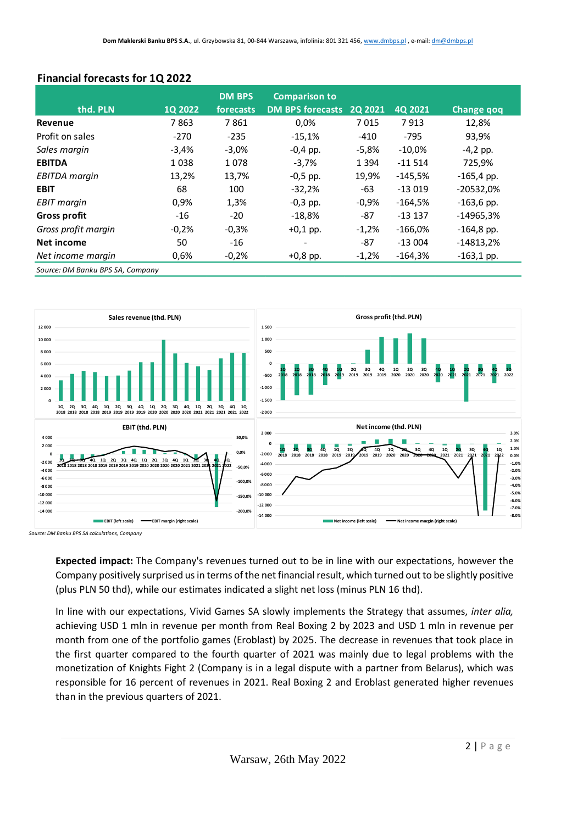|                      |         | <b>DM BPS</b> | <b>Comparison to</b>    |          |           |                   |
|----------------------|---------|---------------|-------------------------|----------|-----------|-------------------|
| thd. PLN             | 10 2022 | forecasts     | <b>DM BPS forecasts</b> | 20 20 21 | 40 2021   | <b>Change qoq</b> |
| Revenue              | 7863    | 7861          | 0,0%                    | 7015     | 7913      | 12,8%             |
| Profit on sales      | $-270$  | $-235$        | $-15,1%$                | -410     | $-795$    | 93,9%             |
| Sales margin         | $-3,4%$ | $-3,0\%$      | $-0.4$ pp.              | $-5,8%$  | $-10,0%$  | $-4,2$ pp.        |
| <b>EBITDA</b>        | 1038    | 1078          | $-3,7%$                 | 1 3 9 4  | $-11514$  | 725,9%            |
| <b>EBITDA</b> margin | 13,2%   | 13,7%         | $-0,5$ pp.              | 19,9%    | $-145.5%$ | $-165,4$ pp.      |
| <b>EBIT</b>          | 68      | 100           | $-32,2%$                | -63      | $-13019$  | $-20532,0%$       |
| <b>EBIT</b> margin   | 0,9%    | 1,3%          | $-0,3$ pp.              | $-0,9%$  | $-164,5%$ | $-163,6$ pp.      |
| <b>Gross profit</b>  | $-16$   | $-20$         | $-18.8\%$               | -87      | $-13137$  | $-14965,3%$       |
| Gross profit margin  | $-0,2%$ | $-0,3%$       | $+0.1$ pp.              | $-1,2%$  | $-166,0%$ | $-164,8$ pp.      |
| Net income           | 50      | -16           |                         | -87      | $-13004$  | $-14813,2%$       |
| Net income margin    | 0,6%    | $-0,2%$       | $+0,8$ pp.              | $-1,2%$  | -164,3%   | $-163,1$ pp.      |

# **Financial forecasts for 1Q 2022**

*Source: DM Banku BPS SA, Company*



*Source: DM Banku BPS SA calculations, Company*

**Expected impact:** The Company's revenues turned out to be in line with our expectations, however the Company positively surprised us in terms of the net financial result, which turned out to be slightly positive (plus PLN 50 thd), while our estimates indicated a slight net loss (minus PLN 16 thd).

In line with our expectations, Vivid Games SA slowly implements the Strategy that assumes, *inter alia,* achieving USD 1 mln in revenue per month from Real Boxing 2 by 2023 and USD 1 mln in revenue per month from one of the portfolio games (Eroblast) by 2025. The decrease in revenues that took place in the first quarter compared to the fourth quarter of 2021 was mainly due to legal problems with the monetization of Knights Fight 2 (Company is in a legal dispute with a partner from Belarus), which was responsible for 16 percent of revenues in 2021. Real Boxing 2 and Eroblast generated higher revenues than in the previous quarters of 2021.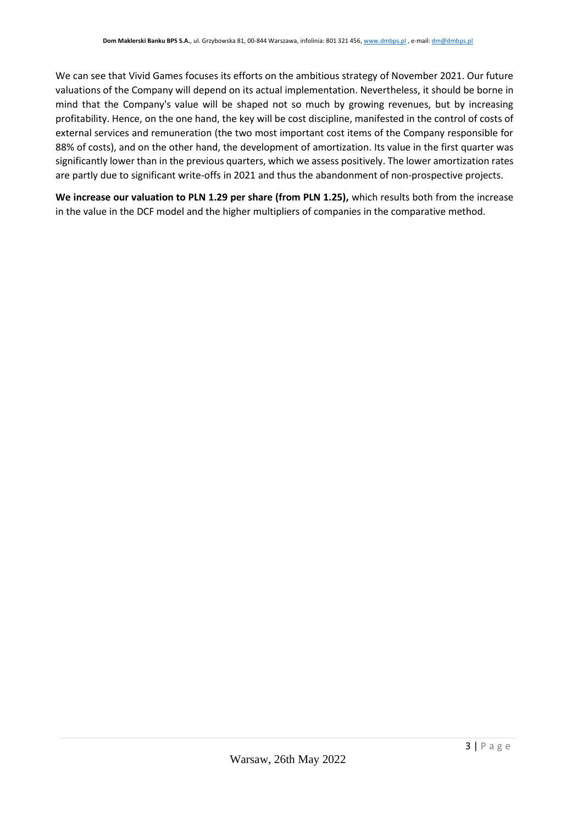We can see that Vivid Games focuses its efforts on the ambitious strategy of November 2021. Our future valuations of the Company will depend on its actual implementation. Nevertheless, it should be borne in mind that the Company's value will be shaped not so much by growing revenues, but by increasing profitability. Hence, on the one hand, the key will be cost discipline, manifested in the control of costs of external services and remuneration (the two most important cost items of the Company responsible for 88% of costs), and on the other hand, the development of amortization. Its value in the first quarter was significantly lower than in the previous quarters, which we assess positively. The lower amortization rates are partly due to significant write-offs in 2021 and thus the abandonment of non-prospective projects.

**We increase our valuation to PLN 1.29 per share (from PLN 1.25),** which results both from the increase in the value in the DCF model and the higher multipliers of companies in the comparative method.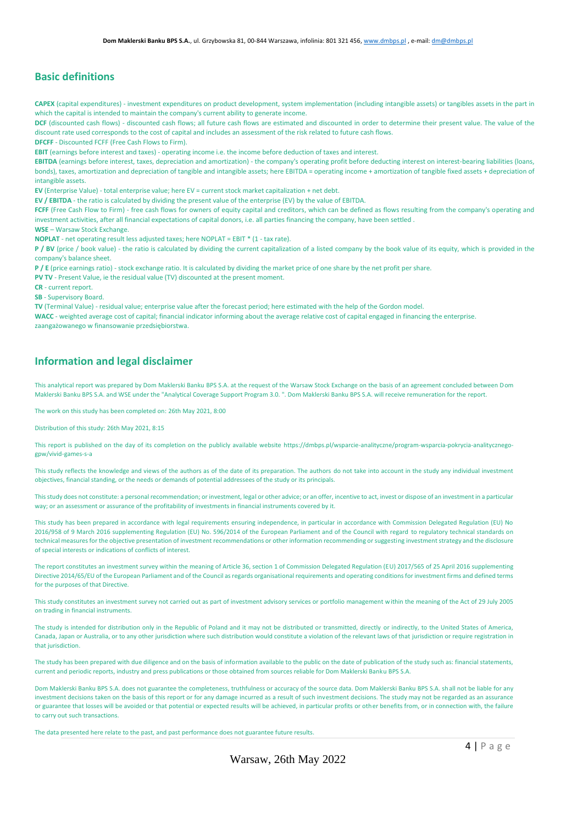## **Basic definitions**

**CAPEX** (capital expenditures) - investment expenditures on product development, system implementation (including intangible assets) or tangibles assets in the part in which the capital is intended to maintain the company's current ability to generate income.

DCF (discounted cash flows) - discounted cash flows; all future cash flows are estimated and discounted in order to determine their present value. The value of the discount rate used corresponds to the cost of capital and includes an assessment of the risk related to future cash flows.

**DFCFF** - Discounted FCFF (Free Cash Flows to Firm).

**EBIT** (earnings before interest and taxes) - operating income i.e. the income before deduction of taxes and interest.

**EBITDA** (earnings before interest, taxes, depreciation and amortization) - the company's operating profit before deducting interest on interest-bearing liabilities (loans, bonds), taxes, amortization and depreciation of tangible and intangible assets; here EBITDA = operating income + amortization of tangible fixed assets + depreciation of intangible assets.

**EV** (Enterprise Value) - total enterprise value; here EV = current stock market capitalization + net debt.

**EV / EBITDA** - the ratio is calculated by dividing the present value of the enterprise (EV) by the value of EBITDA.

**FCFF** (Free Cash Flow to Firm) - free cash flows for owners of equity capital and creditors, which can be defined as flows resulting from the company's operating and investment activities, after all financial expectations of capital donors, i.e. all parties financing the company, have been settled .

**WSE** – Warsaw Stock Exchange.

**NOPLAT** - net operating result less adjusted taxes; here NOPLAT = EBIT \* (1 - tax rate).

**P / BV** (price / book value) - the ratio is calculated by dividing the current capitalization of a listed company by the book value of its equity, which is provided in the company's balance sheet.

**P / E** (price earnings ratio) - stock exchange ratio. It is calculated by dividing the market price of one share by the net profit per share.

**PV TV** - Present Value, ie the residual value (TV) discounted at the present moment.

**CR** - current report.

**SB** - Supervisory Board.

**TV** (Terminal Value) - residual value; enterprise value after the forecast period; here estimated with the help of the Gordon model.

**WACC** - weighted average cost of capital; financial indicator informing about the average relative cost of capital engaged in financing the enterprise. zaangażowanego w finansowanie przedsiębiorstwa.

## **Information and legal disclaimer**

This analytical report was prepared by Dom Maklerski Banku BPS S.A. at the request of the Warsaw Stock Exchange on the basis of an agreement concluded between Dom Maklerski Banku BPS S.A. and WSE under the "Analytical Coverage Support Program 3.0. ". Dom Maklerski Banku BPS S.A. will receive remuneration for the report.

The work on this study has been completed on: 26th May 2021, 8:00

Distribution of this study: 26th May 2021, 8:15

This report is published on the day of its completion on the publicly available website https://dmbps.pl/wsparcie-analityczne/program-wsparcia-pokrycia-analitycznegogpw/vivid-games-s-a

This study reflects the knowledge and views of the authors as of the date of its preparation. The authors do not take into account in the study any individual investment objectives, financial standing, or the needs or demands of potential addressees of the study or its principals.

This study does not constitute: a personal recommendation; or investment, legal or other advice; or an offer, incentive to act, invest or dispose of an investment in a particular way; or an assessment or assurance of the profitability of investments in financial instruments covered by it.

This study has been prepared in accordance with legal requirements ensuring independence, in particular in accordance with Commission Delegated Regulation (EU) No 2016/958 of 9 March 2016 supplementing Regulation (EU) No. 596/2014 of the European Parliament and of the Council with regard to regulatory technical standards on technical measures for the objective presentation of investment recommendations or other information recommending or suggesting investment strategy and the disclosure of special interests or indications of conflicts of interest.

The report constitutes an investment survey within the meaning of Article 36, section 1 of Commission Delegated Regulation (EU) 2017/565 of 25 April 2016 supplementing Directive 2014/65/EU of the European Parliament and of the Council as regards organisational requirements and operating conditions for investment firms and defined terms for the purposes of that Directive.

This study constitutes an investment survey not carried out as part of investment advisory services or portfolio management within the meaning of the Act of 29 July 2005 on trading in financial instruments.

The study is intended for distribution only in the Republic of Poland and it may not be distributed or transmitted, directly or indirectly, to the United States of America, Canada, Japan or Australia, or to any other jurisdiction where such distribution would constitute a violation of the relevant laws of that jurisdiction or require registration in that jurisdiction.

The study has been prepared with due diligence and on the basis of information available to the public on the date of publication of the study such as: financial statements, current and periodic reports, industry and press publications or those obtained from sources reliable for Dom Maklerski Banku BPS S.A.

Dom Maklerski Banku BPS S.A. does not guarantee the completeness, truthfulness or accuracy of the source data. Dom Maklerski Banku BPS S.A. shall not be liable for any investment decisions taken on the basis of this report or for any damage incurred as a result of such investment decisions. The study may not be regarded as an assurance or guarantee that losses will be avoided or that potential or expected results will be achieved, in particular profits or other benefits from, or in connection with, the failure to carry out such transactions.

The data presented here relate to the past, and past performance does not guarantee future results.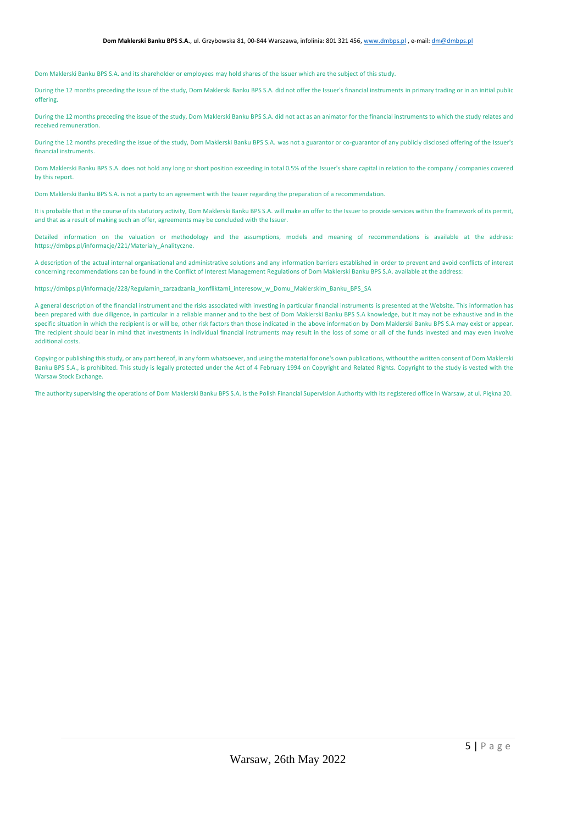Dom Maklerski Banku BPS S.A. and its shareholder or employees may hold shares of the Issuer which are the subject of this study.

During the 12 months preceding the issue of the study, Dom Maklerski Banku BPS S.A. did not offer the Issuer's financial instruments in primary trading or in an initial public offering.

During the 12 months preceding the issue of the study, Dom Maklerski Banku BPS S.A. did not act as an animator for the financial instruments to which the study relates and received remuneration.

During the 12 months preceding the issue of the study, Dom Maklerski Banku BPS S.A. was not a guarantor or co-guarantor of any publicly disclosed offering of the Issuer's financial instruments.

Dom Maklerski Banku BPS S.A. does not hold any long or short position exceeding in total 0.5% of the Issuer's share capital in relation to the company / companies covered by this report.

Dom Maklerski Banku BPS S.A. is not a party to an agreement with the Issuer regarding the preparation of a recommendation.

It is probable that in the course of its statutory activity, Dom Maklerski Banku BPS S.A. will make an offer to the Issuer to provide services within the framework of its permit, and that as a result of making such an offer, agreements may be concluded with the Issuer.

Detailed information on the valuation or methodology and the assumptions, models and meaning of recommendations is available at the address: https://dmbps.pl/informacje/221/Materialy\_Analityczne.

A description of the actual internal organisational and administrative solutions and any information barriers established in order to prevent and avoid conflicts of interest concerning recommendations can be found in the Conflict of Interest Management Regulations of Dom Maklerski Banku BPS S.A. available at the address:

https://dmbps.pl/informacie/228/Regulamin\_zarzadzania\_konfliktami\_interesow\_w\_Domu\_Maklerskim\_Banku\_BPS\_SA

A general description of the financial instrument and the risks associated with investing in particular financial instruments is presented at the Website. This information has been prepared with due diligence, in particular in a reliable manner and to the best of Dom Maklerski Banku BPS S.A knowledge, but it may not be exhaustive and in the specific situation in which the recipient is or will be, other risk factors than those indicated in the above information by Dom Maklerski Banku BPS S.A may exist or appear. The recipient should bear in mind that investments in individual financial instruments may result in the loss of some or all of the funds invested and may even involve additional costs.

Copying or publishing this study, or any part hereof, in any form whatsoever, and using the material for one's own publications, without the written consent of Dom Maklerski Banku BPS S.A., is prohibited. This study is legally protected under the Act of 4 February 1994 on Copyright and Related Rights. Copyright to the study is vested with the Warsaw Stock Exchange.

The authority supervising the operations of Dom Maklerski Banku BPS S.A. is the Polish Financial Supervision Authority with its registered office in Warsaw, at ul. Piękna 20.